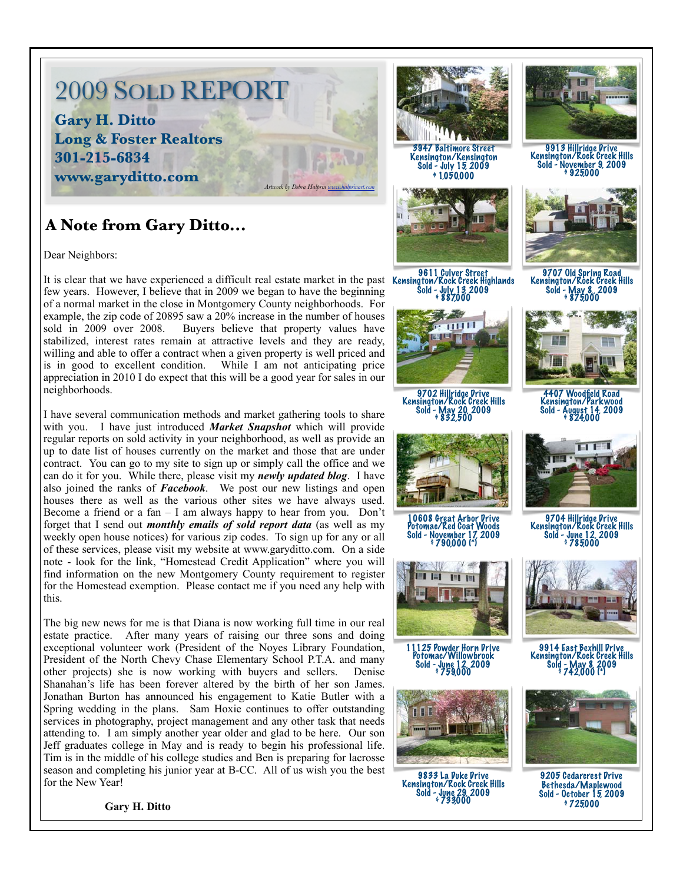# 2009 SOLD REPORT **Gary H. Ditto Long & Foster Realtors 301-215-6834 www.garyditto.com** *Artwork by Debra Halprin [www.halprinart.com](http://www.halprinart.com)*

### **A Note from Gary Ditto...**

Dear Neighbors:

9611 Culver Street<br>It is clear that we have experienced a difficult real estate market in the past Kensington/Rock Creek Highlands few years. However, I believe that in 2009 we began to have the beginning of a normal market in the close in Montgomery County neighborhoods. For example, the zip code of 20895 saw a 20% increase in the number of houses sold in 2009 over 2008. Buyers believe that property values have stabilized, interest rates remain at attractive levels and they are ready, willing and able to offer a contract when a given property is well priced and is in good to excellent condition. While I am not anticipating price appreciation in 2010 I do expect that this will be a good year for sales in our neighborhoods.

I have several communication methods and market gathering tools to share with you. I have just introduced *Market Snapshot* which will provide regular reports on sold activity in your neighborhood, as well as provide an up to date list of houses currently on the market and those that are under contract. You can go to my site to sign up or simply call the office and we can do it for you. While there, please visit my *newly updated blog*. I have also joined the ranks of *Facebook*. We post our new listings and open houses there as well as the various other sites we have always used. Become a friend or a fan  $- I$  am always happy to hear from you. Don't forget that I send out *monthly emails of sold report data* (as well as my weekly open house notices) for various zip codes. To sign up for any or all of these services, please visit my website at www.garyditto.com. On a side note - look for the link, "Homestead Credit Application" where you will find information on the new Montgomery County requirement to register for the Homestead exemption. Please contact me if you need any help with this.

The big new news for me is that Diana is now working full time in our real estate practice. After many years of raising our three sons and doing exceptional volunteer work (President of the Noyes Library Foundation, President of the North Chevy Chase Elementary School P.T.A. and many other projects) she is now working with buyers and sellers. Denise Shanahan's life has been forever altered by the birth of her son James. Jonathan Burton has announced his engagement to Katie Butler with a Spring wedding in the plans. Sam Hoxie continues to offer outstanding services in photography, project management and any other task that needs attending to. I am simply another year older and glad to be here. Our son Jeff graduates college in May and is ready to begin his professional life. Tim is in the middle of his college studies and Ben is preparing for lacrosse season and completing his junior year at B-CC. All of us wish you the best for the New Year!

 **Gary H. Ditto**



3947 Baltimore Street Kensington/Kensington Sold - July 15, 2009  $91.050,000$ 



Sold - July 13, 2009 \$ 887,000



9702 Hillridge Drive Kensington/Rock Creek Hills Sold - May 20, 2009 \$ 832,500



10608 Great Arbor Drive Potomac/Red Coat Woods November 17, 2009



11125 Powder Horn Drive Potomac/Willowbrook Sold - June 12, 2009 \$ 759,000



9833 La Duke Drive Kensington/Rock Creek Hills Sold - June 29, 2009 \$ 733,000



9913 Hillridge Drive Kensington/Rock Creek Hills Sold - November 9, 2009 \$ 925,000



9707 Old Spring Road<br>Kensington/Rock Creek Hills<br>Sold - May 8, 2009 - May 8, 2009<br>\$ 875000



4407 Woodfield Road Kensington/Parkwood Sold - August 14, 2009



9704 Hillridge Drive Kensington/Rock Creek Hills sin itech (12009)<br>\$ 785000



9914 East Bexhill Drive Kensington/Rock Creek Hills Sold - May 8, 2009 \$ 742,000 (\*)



9205 Cedarcrest Drive Bethesda/Maplewood Sold - October 15, 2009  $9725000$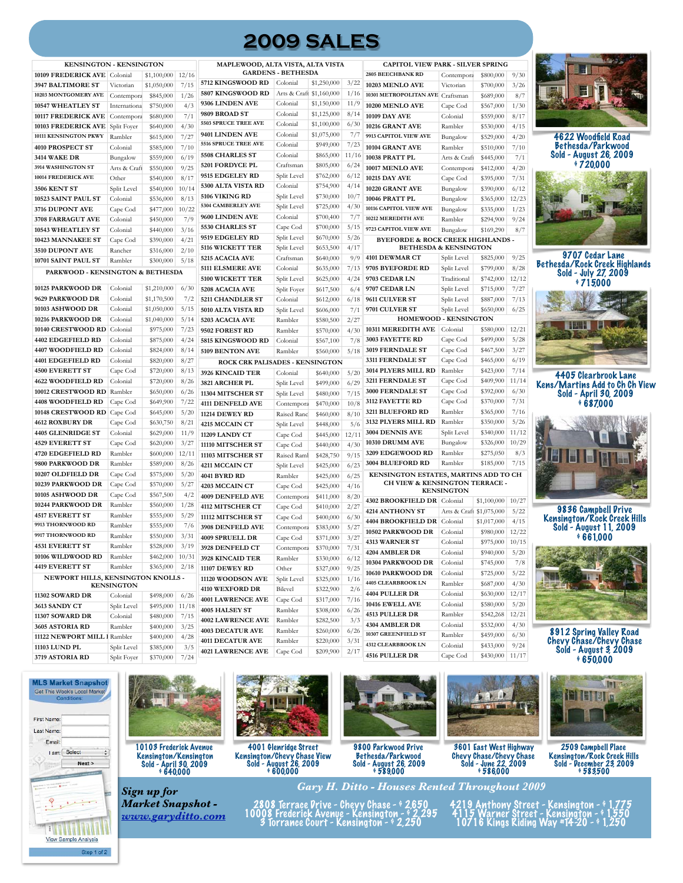## **2009 SALES**

| <b>MAPLEWOC</b><br><b>KENSINGTON - KENSINGTON</b> |                   |             |       |                        |  |  |  |  |  |
|---------------------------------------------------|-------------------|-------------|-------|------------------------|--|--|--|--|--|
| 10109 FREDERICK AVE                               | Colonial          | \$1,100,000 | 12/16 | GAF                    |  |  |  |  |  |
| 3947 BALTIMORE ST                                 | Victorian         | \$1,050,000 | 7/15  | 5712 KINGSWOOI         |  |  |  |  |  |
| 10203 MONTGOMERY AVE                              | Contempora        | \$845,000   | 1/26  | 5807 KINGSWOOI         |  |  |  |  |  |
| 10547 WHEATLEY ST                                 | Internationa      | \$750,000   | 4/3   | 9306 LINDEN AVI        |  |  |  |  |  |
| 10117 FREDERICK AVE                               | Contempora        | \$680,000   | 7/1   | 9809 BROAD ST          |  |  |  |  |  |
| 10103 FREDERICK AVE                               | Split Fover       | \$640,000   | 4/30  | 5503 SPRUCE TREE /     |  |  |  |  |  |
| 10111 KENSINGTON PKWY                             | Rambler           | \$615,000   | 7/27  | 9401 LINDEN AVI        |  |  |  |  |  |
| 4010 PROSPECT ST                                  | Colonial          | \$585,000   | 7/10  | 5516 SPRUCE TREE A     |  |  |  |  |  |
| <b>3414 WAKE DR</b>                               | Bungalow          | \$559,000   | 6/19  | 5508 CHARLES ST        |  |  |  |  |  |
| 3914 WASHINGTON ST                                | Arts & Craft      | \$550,000   | 9/25  | 5201 FORDYCE PI        |  |  |  |  |  |
| 10014 FREDERICK AVE                               | Other             | \$540,000   | 8/17  | 9515 EDGELEY RI        |  |  |  |  |  |
| 3506 KENT ST                                      | Split Level       | \$540,000   | 10/14 | 5300 ALTA VISTA        |  |  |  |  |  |
| 10523 SAINT PAUL ST                               | Colonial          | \$536,000   | 8/13  | 5106 VIKING RD         |  |  |  |  |  |
| 3716 DUPONT AVE                                   | Cape Cod          | \$477,000   | 10/22 | 5304 CAMBERLEY AV      |  |  |  |  |  |
| 3708 FARRAGUT AVE                                 | Colonial          | \$450,000   | 7/9   | 9600 LINDEN AVI        |  |  |  |  |  |
| 10543 WHEATLEY ST                                 | Colonial          | \$440,000   | 3/16  | 5530 CHARLES ST        |  |  |  |  |  |
| 10423 MANNAKEE ST                                 | Cape Cod          | \$390,000   | 4/21  | 9519 EDGELEY RI        |  |  |  |  |  |
| 3510 DUPONT AVE                                   | Rancher           | \$316,000   | 2/10  | 5116 WICKETT TE        |  |  |  |  |  |
| 10701 SAINT PAUL ST                               | Rambler           | \$300,000   | 5/18  | 5215 ACACIA AVE        |  |  |  |  |  |
| PARKWOOD - KENSINGTON & BETHESDA                  |                   |             |       | 5111 ELSMERE AV        |  |  |  |  |  |
|                                                   |                   |             |       | 5100 WICKETT TI        |  |  |  |  |  |
| 10125 PARKWOOD DR                                 | Colonial          | \$1,210,000 | 6/30  | 5208 ACACIA AVE        |  |  |  |  |  |
| 9629 PARKWOOD DR                                  | Colonial          | \$1,170,500 | 7/2   | 5211 CHANDLER          |  |  |  |  |  |
| 10103 ASHWOOD DR                                  | Colonial          | \$1,050,000 | 5/15  | 5010 ALTA VISTA        |  |  |  |  |  |
| 10216 PARKWOOD DR                                 | Colonial          | \$1,040,000 | 5/14  | 5203 ACACIA AVE        |  |  |  |  |  |
| 10140 CRESTWOOD RD                                | Colonial          | \$975,000   | 7/23  | 9502 FOREST RD         |  |  |  |  |  |
| 4402 EDGEFIELD RD                                 | Colonial          | \$875,000   | 4/24  | 5815 KINGSWOOI         |  |  |  |  |  |
| 4407 WOODFIELD RD                                 | Colonial          | \$824,000   | 8/14  | 5109 BENTON AV         |  |  |  |  |  |
| 4401 EDGEFIELD RD                                 | Colonial          | \$820,000   | 8/27  | <b>ROCK CRK</b>        |  |  |  |  |  |
| <b>4500 EVERETT ST</b>                            | Cape Cod          | \$720,000   | 8/13  | 3926 KINCAID TE        |  |  |  |  |  |
| 4622 WOODFIELD RD                                 | Colonial          | \$720,000   | 8/26  | 3821 ARCHER PL         |  |  |  |  |  |
| 10012 CRESTWOOD RD                                | Rambler           | \$650,000   | 6/26  | 11304 MITSCHER         |  |  |  |  |  |
| 4408 WOODFIELD RD                                 | Cape Cod          | \$649,900   | 7/22  | 4111 DENFELD AV        |  |  |  |  |  |
| 10148 CRESTWOOD RD                                | Cape Cod          | \$645,000   | 5/20  | <b>11214 DEWEY RD</b>  |  |  |  |  |  |
| <b>4612 ROXBURY DR</b>                            | Cape Cod          | \$630,750   | 8/21  | 4215 MCCAIN CT         |  |  |  |  |  |
| 4405 GLENRIDGE ST                                 | Colonial          | \$629,000   | 11/9  | 11209 LANDY CT         |  |  |  |  |  |
| <b>4529 EVERETT ST</b>                            | Cape Cod          | \$620,000   | 3/27  | 11110 MITSCHER         |  |  |  |  |  |
| 4720 EDGEFIELD RD                                 | Rambler           | \$600,000   | 12/11 | 11103 MITSCHER         |  |  |  |  |  |
| 9800 PARKWOOD DR                                  | Rambler           | \$589,000   | 8/26  | 4211 MCCAIN CT         |  |  |  |  |  |
| 10207 OLDFIELD DR                                 | Cape Cod          | \$575,000   | 5/20  | 4041 BYRD RD           |  |  |  |  |  |
| 10239 PARKWOOD DR                                 | Cape Cod          | \$570,000   | 5/27  | 4203 MCCAIN CT         |  |  |  |  |  |
| 10105 ASHWOOD DR                                  | Cape Cod          | \$567,500   | 4/2   | 4009 DENFELD A         |  |  |  |  |  |
| 10244 PARKWOOD DR                                 | Rambler           | \$560,000   | 1/28  | 4112 MITSCHER O        |  |  |  |  |  |
| <b>4517 EVERETT ST</b>                            | Rambler           | \$555,000   | 5/29  | 11112 MITSCHER         |  |  |  |  |  |
| 9913 THORNWOOD RD                                 | Rambler           | \$555,000   | 7/6   | 3908 DENFELD A         |  |  |  |  |  |
| 9917 THORNWOOD RD                                 | Rambler           | \$550,000   | 3/31  | 4009 SPRUELL DI        |  |  |  |  |  |
| <b>4531 EVERETT ST</b>                            | Rambler           | \$528,000   | 3/19  | 3928 DENFELD C         |  |  |  |  |  |
| 10106 WILDWOOD RD                                 | Rambler           | \$462,000   | 10/31 | <b>3928 KINCAID TE</b> |  |  |  |  |  |
| <b>4419 EVERETT ST</b>                            | Rambler           | \$365,000   | 2/18  | 11107 DEWEY RD         |  |  |  |  |  |
| NEWPORT HILLS, KENSINGTON KNOLLS -                |                   |             |       | 11120 WOODSON .        |  |  |  |  |  |
|                                                   | <b>KENSINGTON</b> |             |       | 4110 WEXFORD D         |  |  |  |  |  |
| 11302 SOWARD DR                                   | Colonial          | \$498,000   | 6/26  | <b>4001 LAWRENCE</b>   |  |  |  |  |  |
| 3613 SANDY CT                                     | Split Level       | \$495,000   | 11/18 | 4005 HALSEY ST         |  |  |  |  |  |
| 11307 SOWARD DR                                   | Colonial          | \$480,000   | 7/15  | <b>4002 LAWRENCE</b>   |  |  |  |  |  |
| 3605 ASTORIA RD                                   | Rambler           | \$400,000   | 3/25  | 4003 DECATUR A         |  |  |  |  |  |
| 11122 NEWPORT MILL I Rambler                      |                   | \$400,000   | 4/28  | 4011 DECATUR AV        |  |  |  |  |  |
| 11103 LUND PL                                     | Split Level       | \$385,000   | 3/5   | <b>4021 LAWRENCE</b>   |  |  |  |  |  |
| 3719 ASTORIA RD                                   | Split Foyer       | \$370,000   | 7/24  |                        |  |  |  |  |  |

|                                                                |                          |             | CAPITOL VIEW PARK - SILVER SPRING |                                                     |                          |             |  |  |  |
|----------------------------------------------------------------|--------------------------|-------------|-----------------------------------|-----------------------------------------------------|--------------------------|-------------|--|--|--|
| MAPLEWOOD, ALTA VISTA, ALTA VISTA<br><b>GARDENS - BETHESDA</b> |                          |             |                                   | 2805 BEECHBANK RD<br>Contempora                     |                          |             |  |  |  |
| <b>5712 KINGSWOOD RD</b>                                       | Colonial                 | \$1,250,000 | 3/22                              |                                                     |                          | \$800,000   |  |  |  |
| <b>5807 KINGSWOOD RD</b>                                       | Arts & Craft \$1,160,000 |             | 1/16                              | 10203 MENLO AVE                                     | Victorian                | \$700,000   |  |  |  |
| <b>9306 LINDEN AVE</b>                                         | Colonial                 | \$1,150,000 | 11/9                              | 10301 METROPOLITAN AVE Craftsman<br>10200 MENLO AVE |                          | \$689,000   |  |  |  |
| 9809 BROAD ST                                                  | Colonial                 | \$1,125,000 | 8/14                              |                                                     | Cape Cod                 | \$567,000   |  |  |  |
| 5503 SPRUCE TREE AVE                                           | Colonial                 | \$1,100,000 | 6/30                              | <b>10109 DAY AVE</b>                                | Colonial                 | \$559,000   |  |  |  |
| <b>9401 LINDEN AVE</b>                                         | Colonial                 |             | 7/7                               | 10216 GRANT AVE                                     | Rambler                  | \$530,000   |  |  |  |
| 5516 SPRUCE TREE AVE                                           |                          | \$1,075,000 |                                   | 9913 CAPITOL VIEW AVE                               | Bungalow                 | \$529,000   |  |  |  |
|                                                                | Colonial                 | \$949,000   | 7/23                              | 10104 GRANT AVE                                     | Rambler                  | \$510,000   |  |  |  |
| 5508 CHARLES ST                                                | Colonial                 | \$865,000   | 11/16                             | 10038 PRATT PL                                      | Arts & Craft             | \$445,000   |  |  |  |
| 5201 FORDYCE PL                                                | Craftsman                | \$805,000   | 6/24                              | 10017 MENLO AVE                                     | Contempora               | \$412,000   |  |  |  |
| 9515 EDGELEY RD                                                | Split Level              | \$762,000   | 6/12                              | <b>10215 DAY AVE</b>                                | Cape Cod                 | \$395,000   |  |  |  |
| 5300 ALTA VISTA RD                                             | Colonial                 | \$754,900   | 4/14                              | 10220 GRANT AVE                                     | Bungalow                 | \$390,000   |  |  |  |
| <b>5106 VIKING RD</b>                                          | Split Level              | \$730,000   | 10/7                              | 10046 PRATT PL                                      | Bungalow                 | \$365,000   |  |  |  |
| <b>5304 CAMBERLEY AVE</b>                                      | Split Level              | \$725,000   | 4/30                              | 10116 CAPITOL VIEW AVE                              | Bungalow                 | \$335,000   |  |  |  |
| <b>9600 LINDEN AVE</b>                                         | Colonial                 | \$700,400   | 7/7                               | 10212 MEREDITH AVE                                  | Rambler                  | \$294,900   |  |  |  |
| <b>5530 CHARLES ST</b>                                         | Cape Cod                 | \$700,000   | 5/15                              | 9723 CAPITOL VIEW AVE                               | Bungalow                 | \$169,290   |  |  |  |
| <b>9519 EDGELEY RD</b>                                         | Split Level              | \$670,000   | 5/26                              | <b>BYEFORDE &amp; ROCK CREEK HIGHLANDS</b>          |                          |             |  |  |  |
| <b>5116 WICKETT TER</b>                                        | Split Level              | \$653,500   | 4/17                              | <b>BETHESDA &amp; KENSINGTON</b>                    |                          |             |  |  |  |
| <b>5215 ACACIA AVE</b>                                         | Craftsman                | \$640,000   | 9/9                               | 4101 DEWMAR CT                                      | Split Level              | \$825,000   |  |  |  |
| <b>5111 ELSMERE AVE</b>                                        | Colonial                 | \$635,000   | 7/13                              | 9705 BYEFORDE RD                                    | Split Level              | \$799,000   |  |  |  |
| 5100 WICKETT TER                                               | Split Level              | \$625,000   | 4/24                              | 9703 CEDAR LN                                       | Traditional              | \$742,000   |  |  |  |
| <b>5208 ACACIA AVE</b>                                         | Split Foyer              | \$617,500   | 6/4                               | 9707 CEDAR LN                                       | Split Level              | \$715,000   |  |  |  |
| 5211 CHANDLER ST                                               | Colonial                 | \$612,000   | 6/18                              | <b>9611 CULVER ST</b>                               | Split Level              | \$887,000   |  |  |  |
| 5010 ALTA VISTA RD                                             | Split Level              | \$606,000   | 7/1                               | 9701 CULVER ST                                      | Split Level              | \$650,000   |  |  |  |
| <b>5203 ACACIA AVE</b>                                         | Rambler                  | \$580,500   | 2/27                              | HOMEWOOD - KENSINGTON                               |                          |             |  |  |  |
| 9502 FOREST RD                                                 | Rambler                  | \$570,000   | 4/30                              | 10311 MEREDITH AVE                                  | Colonial                 | \$580,000   |  |  |  |
| <b>5815 KINGSWOOD RD</b>                                       | Colonial                 | \$567,100   | 7/8                               | 3003 FAYETTE RD                                     | Cape Cod                 | \$499,000   |  |  |  |
| <b>5109 BENTON AVE</b>                                         | Rambler                  | \$560,000   | 5/18                              | <b>3019 FERNDALE ST</b>                             | Cape Cod                 | \$467,500   |  |  |  |
| ROCK CRK PALISADES - KENSINGTON                                |                          |             |                                   | <b>3311 FERNDALE ST</b>                             | Cape Cod                 | \$465,000   |  |  |  |
| <b>3926 KINCAID TER</b>                                        | Colonial                 | \$640,000   | 5/20                              | 3014 PLYERS MILL RD                                 | Rambler                  | \$423,000   |  |  |  |
| 3821 ARCHER PL                                                 | Split Level              | \$499,000   | 6/29                              | 3211 FERNDALE ST                                    | Cape Cod                 | \$409,900   |  |  |  |
| <b>11304 MITSCHER ST</b>                                       | Split Level              | \$480,000   | 7/15                              | 3000 FERNDALE ST                                    | Cape Cod                 | \$392,000   |  |  |  |
| <b>4111 DENFELD AVE</b>                                        | Contempora               | \$470,000   | 10/8                              | 3112 FAYETTE RD                                     | Cape Cod                 | \$370,000   |  |  |  |
| 11214 DEWEY RD                                                 | Raised Ranc              | \$460,000   | 8/10                              | 3211 BLUEFORD RD                                    | Rambler                  | \$365,000   |  |  |  |
| <b>4215 MCCAIN CT</b>                                          | Split Level              | \$448,000   | 5/6                               | 3132 PLYERS MILL RD                                 | Rambler                  | \$350,000   |  |  |  |
| <b>11209 LANDY CT</b>                                          | Cape Cod                 | \$445,000   | 12/11                             | 3004 DENNIS AVE                                     | Split Level              | \$340,000   |  |  |  |
| 11110 MITSCHER ST                                              | Cape Cod                 | \$440,000   | 4/30                              | 10310 DRUMM AVE                                     | Bungalow                 | \$326,000   |  |  |  |
| 11103 MITSCHER ST                                              | Raised Raml              | \$428,750   | 9/15                              | 3209 EDGEWOOD RD                                    | Rambler                  | \$275,050   |  |  |  |
| <b>4211 MCCAIN CT</b>                                          | Split Level              | \$425,000   | 6/23                              | 3004 BLUEFORD RD                                    | Rambler                  | \$185,000   |  |  |  |
| 4041 BYRD RD                                                   | Rambler                  | \$425,000   | 6/25                              | KENSINGTON ESTATES, MARTINS ADD TO                  |                          |             |  |  |  |
| <b>4203 MCCAIN CT</b>                                          | Cape Cod                 | \$425,000   | 4/16                              | <b>CH VIEW &amp; KENSINGTON TERRACE -</b>           | <b>KENSINGTON</b>        |             |  |  |  |
| <b>4009 DENFELD AVE</b>                                        | Contempora               | \$411,000   | 8/20                              | 4302 BROOKFIELD DR Colonial                         |                          | \$1,100,000 |  |  |  |
| 4112 MITSCHER CT                                               | Cape Cod                 | \$410,000   | 2/27                              | <b>4214 ANTHONY ST</b>                              | Arts & Craft \$1,075,000 |             |  |  |  |
| 11112 MITSCHER ST                                              | Cape Cod                 | \$400,000   | 6/30                              | 4404 BROOKFIELD DR                                  | Colonial                 | \$1,017,000 |  |  |  |
| <b>3908 DENFELD AVE</b>                                        | Contempora               | \$383,000   | 5/27                              | 10502 PARKWOOD DR                                   | Colonial                 | \$980,000   |  |  |  |
| <b>4009 SPRUELL DR</b>                                         | Cape Cod                 | \$371,000   | 3/27                              | <b>4313 WARNER ST</b>                               | Colonial                 | \$975,000   |  |  |  |
| <b>3928 DENFELD CT</b>                                         | Contempora               | \$370,000   | 7/31                              | 4204 AMBLER DR                                      | Colonial                 | \$940,000   |  |  |  |
| <b>3928 KINCAID TER</b>                                        | Rambler                  | \$330,000   | 6/12                              | <b>10304 PARKWOOD DR</b>                            | Colonial                 | \$745,000   |  |  |  |
| 11107 DEWEY RD                                                 | Other                    | \$327,000   | 9/25                              | 10610 PARKWOOD DR                                   | Colonial                 | \$725,000   |  |  |  |
| 11120 WOODSON AVE                                              | Split Level              | \$325,000   | 1/16                              | 4405 CLEARBROOK LN                                  | Rambler                  | \$687,000   |  |  |  |
| <b>4110 WEXFORD DR</b>                                         | Bilevel                  | \$322,900   | 2/6                               | 4404 PULLER DR                                      | Colonial                 | \$630,000   |  |  |  |
| <b>4001 LAWRENCE AVE</b>                                       | Cape Cod                 | \$317,000   | 7/16                              | 10416 EWELL AVE                                     | Colonial                 | \$580,000   |  |  |  |
| 4005 HALSEY ST                                                 | Rambler                  | \$308,000   | 6/26                              | <b>4513 PULLER DR</b>                               | Rambler                  | \$542,268   |  |  |  |
| <b>4002 LAWRENCE AVE</b>                                       | Rambler                  | \$282,500   | 3/3                               | 4304 AMBLER DR                                      | Colonial                 | \$532,000   |  |  |  |
| <b>4003 DECATUR AVE</b>                                        | Rambler                  | \$260,000   | 6/26                              | 10307 GREENFIELD ST                                 | Rambler                  | \$459,000   |  |  |  |
| <b>4011 DECATUR AVE</b>                                        | Rambler                  | \$220,000   | 3/31                              | 4312 CLEARBROOK LN                                  | Colonial                 | \$433,000   |  |  |  |
| <b>4021 LAWRENCE AVE</b>                                       | Cape Cod                 | \$209,900   | 2/17                              | 4516 PULLER DR                                      | Cape Cod                 | \$430,000   |  |  |  |
|                                                                |                          |             |                                   |                                                     |                          |             |  |  |  |

|                | 2805 BEECHBANK RD                            | Contempora               | \$800,000   | 9/30  |
|----------------|----------------------------------------------|--------------------------|-------------|-------|
| 22             | 10203 MENLO AVE                              | Victorian                | \$700,000   | 3/26  |
| <sup>16</sup>  | 10301 METROPOLITAN AVE Craftsman             |                          | \$689,000   | 8/7   |
| /9             | 10200 MENLO AVE                              | Cape Cod                 | \$567,000   | 1/30  |
| 14             | <b>10109 DAY AVE</b>                         | Colonial                 | \$559,000   | 8/17  |
| 30             | 10216 GRANT AVE                              | Rambler                  | \$530,000   | 4/15  |
| /7             | 9913 CAPITOL VIEW AVE                        | Bungalow                 | \$529,000   | 4/20  |
| 23             | 10104 GRANT AVE                              | Rambler                  | \$510,000   | 7/10  |
| 16             | 10038 PRATT PL                               | Arts & Craft             | \$445,000   | 7/1   |
| 24             | 10017 MENLO AVE                              | Contempora               | \$412,000   | 4/20  |
| 12             | <b>10215 DAY AVE</b>                         | Cape Cod                 | \$395,000   | 7/31  |
| 14             | 10220 GRANT AVE                              | Bungalow                 | \$390,000   | 6/12  |
| /7             | 10046 PRATT PL                               | Bungalow                 | \$365,000   | 12/23 |
| 30             | 10116 CAPITOL VIEW AVE                       | Bungalow                 | \$335,000   | 1/23  |
| /7             | 10212 MEREDITH AVE                           | Rambler                  | \$294,900   | 9/24  |
| '15            | 9723 CAPITOL VIEW AVE                        | Bungalow                 | \$169,290   | 8/7   |
| 26             | <b>BYEFORDE &amp; ROCK CREEK HIGHLANDS -</b> |                          |             |       |
| '17            | <b>BETHESDA &amp; KENSINGTON</b>             |                          |             |       |
| $^{1/9}$       | 4101 DEWMAR CT                               | Split Level              | \$825,000   | 9/25  |
| 13             | 9705 BYEFORDE RD                             | Split Level              | \$799,000   | 8/28  |
| 24             | 9703 CEDAR LN                                | Traditional              | \$742,000   | 12/12 |
| ./4            | 9707 CEDAR LN                                | Split Level              | \$715,000   | 7/27  |
| '18            | 9611 CULVER ST                               | Split Level              | \$887,000   | 7/13  |
| /1             | 9701 CULVER ST                               | Split Level              | \$650,000   | 6/25  |
| 27             | HOMEWOOD - KENSINGTON                        |                          |             |       |
| 30             | 10311 MEREDITH AVE                           | Colonial                 | \$580,000   | 12/21 |
| /8             | 3003 FAYETTE RD                              | Cape Cod                 | \$499,000   | 5/28  |
| '18            | 3019 FERNDALE ST                             | Cape Cod                 | \$467,500   | 3/27  |
|                | 3311 FERNDALE ST                             | Cape Cod                 | \$465,000   | 6/19  |
| 20             | 3014 PLYERS MILL RD                          | Rambler                  | \$423,000   | 7/14  |
| 29             | 3211 FERNDALE ST                             | Cape Cod                 | \$409,900   | 11/14 |
| 15             | 3000 FERNDALE ST                             | Cape Cod                 | \$392,000   | 6/30  |
| $\sqrt{8}$     | 3112 FAYETTE RD                              | Cape Cod                 | \$370,000   | 7/31  |
| '10            | 3211 BLUEFORD RD                             | Rambler                  | \$365,000   | 7/16  |
| $\frac{76}{5}$ | 3132 PLYERS MILL RD                          | Rambler                  | \$350,000   | 5/26  |
| $^{\prime}11$  | 3004 DENNIS AVE                              | Split Level              | \$340,000   | 11/12 |
| 30             | 10310 DRUMM AVE                              | Bungalow                 | \$326,000   | 10/29 |
| '15            | 3209 EDGEWOOD RD                             | Rambler                  | \$275,050   | 8/3   |
| 23             | 3004 BLUEFORD RD                             | Rambler                  | \$185,000   | 7/15  |
| 25             | KENSINGTON ESTATES, MARTINS ADD TO CH        |                          |             |       |
| 16             | <b>CH VIEW &amp; KENSINGTON TERRACE -</b>    | <b>KENSINGTON</b>        |             |       |
| <sup>20</sup>  | 4302 BROOKFIELD DR Colonial                  |                          | \$1,100,000 | 10/27 |
| 27             | 4214 ANTHONY ST                              | Arts & Craft \$1,075,000 |             | 5/22  |
| 30             | 4404 BROOKFIELD DR                           | Colonial                 | \$1,017,000 | 4/15  |
| 27             | 10502 PARKWOOD DR                            | Colonial                 | \$980,000   | 12/22 |
| 27             | <b>4313 WARNER ST</b>                        | Colonial                 | \$975,000   | 10/15 |
| 31             | 4204 AMBLER DR                               | Colonial                 | \$940,000   | 5/20  |
| 12             | 10304 PARKWOOD DR                            | Colonial                 | \$745,000   | 7/8   |
| 25             | 10610 PARKWOOD DR                            | Colonial                 | \$725,000   | 5/22  |
| 16             | 4405 CLEARBROOK LN                           | Rambler                  | \$687,000   | 4/30  |
| :/6            | 4404 PULLER DR                               | Colonial                 | \$630,000   | 12/17 |
| 16             | 10416 EWELL AVE                              | Colonial                 | \$580,000   | 5/20  |
| <b>26</b>      | <b>4513 PULLER DR</b>                        | Rambler                  | \$542,268   | 12/21 |
| /3             | <b>4304 AMBLER DR</b>                        | Colonial                 | \$532,000   | 4/30  |
| <sup>26</sup>  | 10307 GREENFIELD ST                          | Rambler                  | \$459,000   | 6/30  |
| 31             | <b>4312 CLEARBROOK LN</b>                    | Colonial                 | \$433,000   | 9/24  |
| 17             | <b>4516 PULLER DR</b>                        | Cape Cod                 | \$430,000   | 11/17 |
|                |                                              |                          |             |       |





9707 Cedar Lane Bethesda/Rock Creek Highlands Sold - July 27, 2009 \$ 715,000



4405 Clearbrook Lane Kens/Martins Add to Ch Ch View Sold - April 30, 2009  $687,000$ 



9836 Campbell Drive Kensington/Rock Creek Hills Sold - August 11, 2009  $9661,000$ 



8912 Spring Valley Road Chevy Chase/Chevy Chase Sold - August 3, 2009  $9650,000$ 





10103 Frederick Avenue Kensington/Kensington Sold - April 30, 2009 \$ 640,000

*Sign up for Market Snapshot [www.garyditto.com](http://www.garyditto.com)*



4001 Glenridge Street Kensington/Chevy Chase View Sold - August 26, 2009 \$ 600,000



Bethesda/Parkwood Sold - August 26, 2009 \$ 589,000



3601 East West Highway Chevy Chase/Chevy Chase Sold - June 22, 2009 \$ 586,000



*Gary H. Ditto - Houses Rented Throughout 2009*

**Jer** 图图

2509 Campbell Place Kensington/Rock Creek Hills Sold - December 23, 2009 \$ 583,500

2808 Terrace Drive - Chevy Chase - \$ 2,650 10008 Frederick Avenue - Kensington - \$ 2,295 3 Torrance Court - Kensington - \$ 2,250

4219 Anthony Street - Kensington - \$ 1,775 4115 Warner Street - Kensington - \$ 1,550 10716 Kings Riding Way #T4-20 - \$ 1,250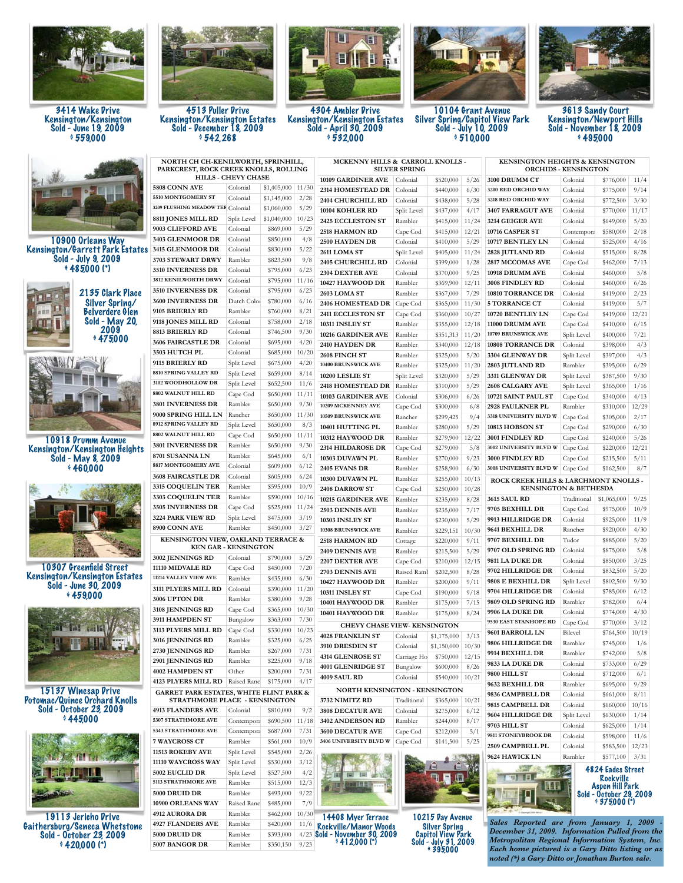

3414 Wake Drive Kensington/Kensington Sold - June 19, 2009 \$ 559,000



10900 Orleans Way Kensington/Garrett Park Estates Sold - July 9, 2009  $9485000$  (\*)



10918 Drumm Avenue Kensington/Kensington Heights Sold - May 8, 2009  $9460,000$ 



10307 Greenfield Street Kensington/Kensington Estates Sold - June 30, 2009  $459,000$ 



15137 Winesap Drive Potomac/Quince Orchard Knolls Sold - October 23, 2009  $945000$ 



19113 Jericho Drive Gaithersburg/Seneca Whetstone Sold - October 23, 2009  $*420,000$  (\*)



4513 Puller Drive Kensington/Kensington Estates Sold - December 18, 2009 \$ 542,268

**BÍIE** H

4304 Ambler Drive Kensington/Kensington Estates Sold - April 30, 2009  $9532,000$ 



10104 Grant Avenue Silver Spring/Capitol View Park Sold - July 10, 2009  $9510,000$ 



3613 Sandy Court Kensington/Newport Hills Sold - November 18, 2009  $9495000$ 

| NORTH CH CH-KENILWORTH, SPRINHILL,<br>PARKCREST, ROCK CREEK KNOLLS, ROLLING |                             |                        |       | MCKENNY HILLS & CARROLL KNOLLS -<br><b>SILVER SPRING</b> |             |                                                        |               | <b>KENSINGTON HEIGHTS &amp; KENSINGTON</b><br><b>ORCHIDS - KENSINGTON</b>                    |             |                         |       |
|-----------------------------------------------------------------------------|-----------------------------|------------------------|-------|----------------------------------------------------------|-------------|--------------------------------------------------------|---------------|----------------------------------------------------------------------------------------------|-------------|-------------------------|-------|
|                                                                             | <b>HILLS - CHEVY CHASE</b>  |                        |       | 10109 GARDINER AVE                                       | Colonial    | \$520,000                                              | 5/26          | 3100 DRUMM CT                                                                                | Colonial    | \$776,000               | 11/4  |
| <b>5808 CONN AVE</b>                                                        | Colonial                    | $$1,405,000$ 11/30     |       | 2314 HOMESTEAD DR                                        | Colonial    | \$440,000                                              | 6/30          | 3200 RED ORCHID WAY                                                                          | Colonial    | \$775,000               | 9/14  |
| 5510 MONTGOMERY ST                                                          | Colonial                    | \$1,145,000            | 2/28  | 2404 CHURCHILL RD                                        | Colonial    | \$438,000                                              | 5/28          | 3218 RED ORCHID WAY                                                                          | Colonial    | \$772,500               | 3/30  |
| 3209 FLUSHING MEADOW TER Colonial                                           |                             | \$1,060,000            | 5/29  | 10104 KOHLER RD                                          | Split Level | \$437,000                                              | 4/17          | 3407 FARRAGUT AVE                                                                            | Colonial    | \$770,000               | 11/17 |
| 8811 JONES MILL RD                                                          | Split Level                 | \$1,040,000            | 10/23 | 2425 ECCLESTON ST                                        | Rambler     | \$415,000                                              | 11/24         | 3214 GEIGER AVE                                                                              | Colonial    | \$649,000               | 5/20  |
| 9003 CLIFFORD AVE                                                           | Colonial                    | \$869,000              | 5/29  | <b>2518 HARMON RD</b>                                    | Cape Cod    | \$415,000                                              | 12/21         | 10716 CASPER ST                                                                              | Contempora  | \$580,000               | 2/18  |
| 3403 GLENMOOR DR                                                            | Colonial                    | \$850,000              | 4/8   |                                                          |             |                                                        |               |                                                                                              |             |                         |       |
| 3415 GLENMOOR DR                                                            | Colonial                    | \$830,000              | 5/22  | 2500 HAYDEN DR<br>2611 LOMA ST                           | Colonial    | \$410,000                                              | 5/29<br>11/24 | 10717 BENTLEY LN                                                                             | Colonial    | \$525,000               | 4/16  |
| <b>3703 STEWART DRWY</b>                                                    | Rambler                     | \$823,500              | 9/8   |                                                          | Split Level | \$405,000                                              |               | 2828 JUTLAND RD                                                                              | Colonial    | \$515,000               | 8/28  |
| 3510 INVERNESS DR                                                           | Colonial                    | \$795,000              | 6/23  | 2405 CHURCHILL RD                                        | Colonial    | \$399,000                                              | 1/28          | 2817 MCCOMAS AVE                                                                             | Cape Cod    | \$462,000               | 7/13  |
| 3812 KENILWORTH DRWY                                                        | Colonial                    | \$795,000              | 11/16 | 2304 DEXTER AVE                                          | Colonial    | \$370,000                                              | 9/25          | 10918 DRUMM AVE                                                                              | Colonial    | \$460,000               | 5/8   |
| 3510 INVERNESS DR                                                           | Colonial                    | \$795,000              | 6/23  | 10427 HAYWOOD DR                                         | Rambler     | \$369,900                                              | 12/11         | 3008 FINDLEY RD                                                                              | Colonial    | \$460,000               | 6/26  |
| 3600 INVERNESS DR                                                           | Dutch Color                 | \$780,000              | 6/16  | 2603 LOMA ST                                             | Rambler     | \$367,000                                              | 7/29          | 10810 TORRANCE DR                                                                            | Colonial    | \$419,000               | 2/23  |
| 9105 BRIERLY RD                                                             | Rambler                     | \$760,000              | 8/21  | 2406 HOMESTEAD DR   Cape Cod                             |             | \$365,000                                              | 11/30         | <b>5 TORRANCE CT</b><br>10720 BENTLEY LN                                                     | Colonial    | \$419,000               | 5/7   |
| 9118 JONES MILL RD                                                          | Colonial                    | \$758,000              | 2/18  | 2411 ECCLESTON ST                                        | Cape Cod    | \$360,000                                              | 10/27         |                                                                                              | Cape Cod    | \$419,000               | 12/21 |
| <b>8813 BRIERLY RD</b>                                                      | Colonial                    | \$746,500              | 9/30  | 10311 INSLEY ST                                          | Rambler     | \$355,000                                              | 12/18         | 11000 DRUMM AVE                                                                              | Cape Cod    | \$410,000               | 6/15  |
| 3606 FAIRCASTLE DR                                                          | Colonial                    | \$695,000              | 4/20  | 10216 GARDINER AVE                                       | Rambler     | \$351,313                                              | 11/20         | 10709 BRUNSWICK AVE                                                                          | Split Level | \$400,000               | 7/21  |
| 3503 HUTCH PL                                                               | Colonial                    | \$685,000              | 10/20 | 2410 HAYDEN DR                                           | Rambler     | \$340,000                                              | 12/18         | <b>10808 TORRANCE DR</b>                                                                     | Colonial    | \$398,000               | 4/3   |
| 9115 BRIERLY RD                                                             | Split Level                 | \$675,000              | 4/20  | 2608 FINCH ST                                            | Rambler     | \$325,000                                              | 5/20          | 3304 GLENWAY DR                                                                              | Split Level | \$397,000               | 4/3   |
| 8810 SPRING VALLEY RD                                                       | Split Level                 | \$659,000              | 8/14  | 10400 BRUNSWICK AVE                                      | Rambler     | \$325,000                                              | 11/20         | 2803 JUTLAND RD                                                                              | Rambler     | \$395,000               | 6/29  |
| 3102 WOODHOLLOW DR                                                          |                             |                        |       | 10200 LESLIE ST                                          | Split Level | \$320,000                                              | 5/29          | 3311 GLENWAY DR                                                                              | Split Level | \$387,500               | 9/30  |
| 8802 WALNUT HILL RD                                                         | Split Level                 | \$652,500              | 11/6  | 2418 HOMESTEAD DR                                        | Rambler     | \$310,000                                              | 5/29          | <b>2608 CALGARY AVE</b>                                                                      | Split Level | \$365,000               | 1/16  |
|                                                                             | Cape Cod                    | \$650,000              | 11/11 | 10103 GARDINER AVE                                       | Colonial    | \$306,000                                              | 6/26          | 10721 SAINT PAUL ST                                                                          | Cape Cod    | \$340,000               | 4/13  |
| 3801 INVERNESS DR                                                           | Rambler                     | \$650,000              | 9/30  | 10209 MCKENNEY AVE                                       | Cape Cod    | \$300,000                                              | 6/8           | 2928 FAULKNER PL                                                                             | Rambler     | \$310,000               | 12/29 |
| 9000 SPRING HILL LN                                                         | Rancher                     | \$650,000              | 11/30 | 10509 BRUNSWICK AVE                                      | Rancher     | \$299,425                                              | 9/4           | 3318 UNIVERSITY BLVD W                                                                       | Cape Cod    | \$305,000               | 2/17  |
| 8912 SPRING VALLEY RD<br>8802 WALNUT HILL RD                                | Split Level                 | \$650,000              | 8/3   | 10401 HUTTING PL                                         | Rambler     | \$280,000                                              | 5/29          | <b>10813 HOBSON ST</b>                                                                       | Cape Cod    | \$290,000               | 6/30  |
|                                                                             | Cape Cod                    | \$650,000              | 11/11 | 10312 HAYWOOD DR                                         | Rambler     | \$279,900                                              | 12/22         | 3001 FINDLEY RD                                                                              | Cape Cod    | \$240,000               | 5/26  |
| 3801 INVERNESS DR                                                           | Rambler                     | \$650,000              | 9/30  | 2314 HILDAROSE DR                                        | Cape Cod    | \$279,000                                              | 5/8           | 3002 UNIVERSITY BLVD W                                                                       | Cape Cod    | \$220,000               | 12/21 |
| 8701 SUSANNA LN                                                             | Rambler                     | \$645,000              | 6/1   | 10303 DUVAWN PL                                          | Rambler     | \$270,000                                              | 9/23          | 3000 FINDLEY RD                                                                              | Cape Cod    | \$215,500               | 5/11  |
| 8817 MONTGOMERY AVE                                                         | Colonial                    | \$609,000              | 6/12  | 2405 EVANS DR                                            | Rambler     | \$258,900                                              | 6/30          | 3008 UNIVERSITY BLVD W                                                                       | Cape Cod    | \$162,500               | 8/7   |
| <b>3608 FAIRCASTLE DR</b>                                                   | Colonial                    | \$605,000              | 6/24  | 10300 DUVAWN PL                                          | Rambler     | \$255,000                                              | 10/13         | ROCK CREEK HILLS & LARCHMONT KNOLLS -                                                        |             |                         |       |
| <b>3315 COQUELIN TER</b>                                                    | Rambler                     | \$595,000              | 10/9  | 2408 DARROW ST                                           | Cape Cod    | \$250,000                                              | 10/28         | <b>KENSINGTON &amp; BETHESDA</b>                                                             |             |                         |       |
| <b>3303 COQUELIN TER</b>                                                    | Rambler                     | \$590,000              | 10/16 | 10215 GARDINER AVE                                       | Rambler     | \$235,000                                              | 8/28          | <b>3615 SAUL RD</b>                                                                          | Traditional | \$1,065,000             | 9/25  |
| <b>3505 INVERNESS DR</b>                                                    | Cape Cod                    | \$525,000              | 11/24 | <b>2503 DENNIS AVE</b>                                   | Rambler     | \$235,000                                              | 7/17          | 9705 BEXHILL DR                                                                              | Cape Cod    | \$975,000               | 10/9  |
| 3224 PARK VIEW RD                                                           | Split Level                 | \$475,000              | 3/19  | 10303 INSLEY ST                                          | Rambler     | \$230,000                                              | 5/29          | 9913 HILLRIDGE DR                                                                            | Colonial    | \$925,000               | 11/9  |
| 8900 CONN AVE                                                               | Rambler                     | \$450,000              | 3/27  | 10308 BRUNSWICK AVE                                      | Rambler     | \$229,151                                              | 10/30         | 9641 BEXHILL DR                                                                              | Rancher     | \$920,000               | 4/30  |
| KENSINGTON VIEW, OAKLAND TERRACE &                                          |                             |                        |       | <b>2518 HARMON RD</b>                                    | Cottage     | \$220,000                                              | 9/11          | 9707 BEXHILL DR                                                                              | Tudor       | \$885,000               | 5/20  |
|                                                                             | <b>KEN GAR - KENSINGTON</b> |                        |       | 2409 DENNIS AVE                                          | Rambler     | \$215,500                                              | 5/29          | 9707 OLD SPRING RD                                                                           | Colonial    | \$875,000               | 5/8   |
| 3002 JENNINGS RD                                                            | Colonial                    | \$790,000              | 5/29  | 2207 DEXTER AVE                                          | Cape Cod    | \$210,000                                              | 12/15         | 9811 LA DUKE DR                                                                              | Colonial    | \$850,000               | 3/25  |
| 11110 MIDVALE RD                                                            | Cape Cod                    | \$450,000              | 7/20  | 2703 DENNIS AVE                                          | Raised Raml | \$202,500                                              | 8/28          | 9702 HILLRIDGE DR                                                                            | Colonial    | \$832,500               | 5/20  |
| 11214 VALLEY VIEW AVE                                                       | Rambler                     | \$435,000              | 6/30  | 10427 HAYWOOD DR                                         | Rambler     | \$200,000                                              | 9/11          | 9808 E BEXHILL DR                                                                            | Split Level | \$802,500               | 9/30  |
| 3111 PLYERS MILL RD                                                         | Colonial                    | \$390,000              | 11/20 | 10311 INSLEY ST                                          | Cape Cod    | \$190,000                                              | 9/18          | 9704 HILLRIDGE DR                                                                            | Colonial    | \$785,000               | 6/12  |
| 3006 UPTON DR                                                               | Rambler                     | \$380,000              | 9/28  | 10401 HAYWOOD DR                                         | Rambler     | \$175,000                                              | 7/15          | 9809 OLD SPRING RD                                                                           | Rambler     | \$782,000               | 6/4   |
| 3108 JENNINGS RD                                                            | Cape Cod                    | \$365,000              | 10/30 | 10401 HAYWOOD DR                                         | Rambler     | \$175,000                                              | 8/24          | <b>9906 LA DUKE DR</b>                                                                       | Colonial    | \$774,000               | 4/30  |
| 3911 HAMPDEN ST                                                             | Bungalow                    | \$363,000              | 7/30  | <b>CHEVY CHASE VIEW- KENSINGTON</b>                      |             |                                                        |               | 9530 EAST STANHOPE RD                                                                        | Cape Cod    | \$770,000               | 3/12  |
| 3113 PLYERS MILL RD                                                         | Cape Cod                    | \$330,000              | 10/23 | <b>4028 FRANKLIN ST</b>                                  | Colonial    | \$1,175,000                                            | 3/13          | 9601 BARROLL LN                                                                              | Bilevel     | \$764,500               | 10/19 |
| 3016 JENNINGS RD                                                            | Rambler                     | \$325,000              | 6/25  | 3910 DRESDEN ST                                          | Colonial    | \$1,150,000                                            | 10/30         | 9806 HILLRIDGE DR                                                                            | Rambler     | \$745,000               | 1/6   |
| 2730 JENNINGS RD                                                            | Rambler                     | \$267,000              | 7/31  | <b>4314 GLENROSE ST</b>                                  | Carriage Ho | $$750,000$ 12/15                                       |               | <b>9914 BEXHILL DR</b>                                                                       | Rambler     | \$742,000               | 5/8   |
| <b>2901 JENNINGS RD</b>                                                     | Rambler                     | \$225,000              | 9/18  | 4001 GLENRIDGE ST                                        | Bungalow    | \$600,000                                              | 8/26          | <b>9833 LA DUKE DR</b>                                                                       | Colonial    | \$733,000               | 6/29  |
| 4002 HAMPDEN ST                                                             | Other                       | \$200,000              | 7/31  | 4009 SAUL RD                                             | Colonial    | \$540,000                                              | 10/21         | 9800 HILL ST                                                                                 | Colonial    | \$712,000               | 6/1   |
| <b>4123 PLYERS MILL RD</b>                                                  | Raised Ranc                 | \$175,000              | 4/17  |                                                          |             |                                                        |               | 9632 BEXHILL DR                                                                              | Rambler     | \$695,000               | 9/29  |
| <b>GARRET PARK ESTATES, WHITE FLINT PARK &amp;</b>                          |                             |                        |       | NORTH KENSINGTON - KENSINGTON                            |             |                                                        |               | 9836 CAMPBELL DR                                                                             | Colonial    | \$661,000               | 8/11  |
| STRATHMORE PLACE - KENSINGTON                                               |                             |                        |       | 3732 NIMITZ RD                                           | Traditional | \$365,000                                              | 10/21         | 9815 CAMPBELL DR                                                                             | Colonial    | \$660,000               | 10/16 |
| <b>4913 FLANDERS AVE</b><br>5307 STRATHMORE AVE                             | Colonial                    | \$810,000              | 9/2   | 3808 DECATUR AVE                                         | Colonial    | \$275,000                                              | 6/12          | 9604 HILLRIDGE DR                                                                            | Split Level | \$630,000               | 1/14  |
|                                                                             | Contempora                  | \$690,500              | 11/18 | 3402 ANDERSON RD                                         | Rambler     | \$244,000                                              | 8/17          | 9703 HILL ST                                                                                 | Colonial    | \$625,000               | 1/14  |
| 5343 STRATHMORE AVE                                                         | Contempora                  | \$687,000              | 7/31  | 3600 DECATUR AVE                                         | Cape Cod    | \$212,000                                              | 5/1           | 9811 STONEYBROOK DR                                                                          | Colonial    | \$598,000               | 11/6  |
| 7 WAYCROSS CT                                                               | Rambler                     | \$561,000              | 10/9  | 3406 UNIVERSITY BLVD W                                   | Cape Cod    | \$141,500                                              | 5/25          | 2509 CAMPBELL PL                                                                             | Colonial    | \$583,500               | 12/23 |
| 11513 ROKEBY AVE                                                            | Split Level                 | \$545,000              | 2/26  |                                                          |             |                                                        |               | <b>9624 HAWICK LN</b>                                                                        | Rambler     | \$577,100               | 3/31  |
| 11110 WAYCROSS WAY                                                          | Split Level                 | \$530,000              | 3/12  |                                                          |             |                                                        |               |                                                                                              |             | 4824 Eades Street       |       |
| 5002 EUCLID DR                                                              | Split Level                 | \$527,500              | 4/2   |                                                          |             |                                                        |               | ■国長                                                                                          |             | Rockville               |       |
| 5113 STRATHMORE AVE                                                         | Rambler                     | \$515,000              | 12/3  |                                                          |             |                                                        |               |                                                                                              |             | <b>Aspen Hill Park</b>  |       |
| 5000 DRUID DR                                                               | Rambler                     | \$493,000              | 9/22  |                                                          |             |                                                        |               |                                                                                              |             | Sold - October 29, 2009 |       |
| 10900 ORLEANS WAY                                                           | Raised Ranc                 | \$485,000              | 7/9   |                                                          |             |                                                        |               |                                                                                              |             | $*375000 (*)$           |       |
| <b>4912 AURORA DR</b>                                                       | Rambler                     | \$462,000              | 10/30 | 14408 Myer Terrace                                       |             | 10215 Day Avenue                                       |               |                                                                                              |             |                         |       |
| <b>4927 FLANDERS AVE</b>                                                    | Rambler                     | \$420,000              | 11/6  |                                                          |             |                                                        |               | Sales Reported are from January 1, 2009                                                      |             |                         |       |
| <b>5000 DRUID DR</b>                                                        |                             |                        |       | <b>Rockville/Manor Woods</b>                             |             | <b>Silver Spring</b>                                   |               |                                                                                              |             |                         |       |
| 5007 BANGOR DR                                                              | Rambler<br>Rambler          | \$393,000<br>\$350,150 | 9/23  | $\frac{4/23}{9/23}$ Sold - November 30, 2009             |             | Capitol View Park<br>Sold - July 31, 2009<br>\$395,000 |               | December 31, 2009. Information Pulled from t<br>Metropolitan Regional Information System, In |             |                         |       |

*Sales Reported are from January 1, 2009 - December 31, 2009. Information Pulled from the Metropolitan Regional Information System, Inc. Each home pictured is a Gary Ditto listing or as noted (\*) a Gary Ditto or Jonathan Burton sale.*